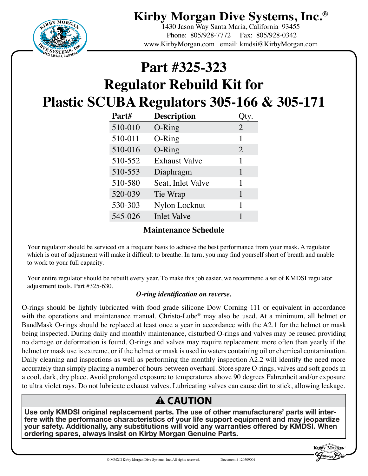**Kirby Morgan Dive Systems, Inc.®**



1430 Jason Way Santa Maria, California 93455 Phone: 805/928-7772 Fax: 805/928-0342 www.KirbyMorgan.com email: kmdsi@KirbyMorgan.com

## **Part #325-323**

# **Regulator Rebuild Kit for Plastic SCUBA Regulators 305-166 & 305-171**

| Part#   | <b>Description</b>   |                |
|---------|----------------------|----------------|
| 510-010 | O-Ring               | $\overline{2}$ |
| 510-011 | O-Ring               | 1              |
| 510-016 | O-Ring               | 2              |
| 510-552 | <b>Exhaust Valve</b> | 1              |
| 510-553 | Diaphragm            | 1              |
| 510-580 | Seat, Inlet Valve    | 1              |
| 520-039 | Tie Wrap             | 1              |
| 530-303 | Nylon Locknut        | 1              |
| 545-026 | <b>Inlet Valve</b>   |                |

#### **Maintenance Schedule**

Your regulator should be serviced on a frequent basis to achieve the best performance from your mask. A regulator which is out of adjustment will make it difficult to breathe. In turn, you may find yourself short of breath and unable to work to your full capacity.

Your entire regulator should be rebuilt every year. To make this job easier, we recommend a set of KMDSI regulator adjustment tools, Part #325-630.

#### *O-ring identification on reverse.*

O-rings should be lightly lubricated with food grade silicone Dow Corning 111 or equivalent in accordance with the operations and maintenance manual. Christo-Lube<sup>®</sup> may also be used. At a minimum, all helmet or BandMask O-rings should be replaced at least once a year in accordance with the A2.1 for the helmet or mask being inspected. During daily and monthly maintenance, disturbed O-rings and valves may be reused providing no damage or deformation is found. O-rings and valves may require replacement more often than yearly if the helmet or mask use is extreme, or if the helmet or mask is used in waters containing oil or chemical contamination. Daily cleaning and inspections as well as performing the monthly inspection A2.2 will identify the need more accurately than simply placing a number of hours between overhaul. Store spare O-rings, valves and soft goods in a cool, dark, dry place. Avoid prolonged exposure to temperatures above 90 degrees Fahrenheit and/or exposure to ultra violet rays. Do not lubricate exhaust valves. Lubricating valves can cause dirt to stick, allowing leakage.

### **A CAUTION**

Use only KMDSI original replacement parts. The use of other manufacturers' parts will inter-<br>fere with the performance characteristics of your life support equipment and may jeopardize your safety. Additionally, any substitutions will void any warranties offered by KMDSI. When ordering spares, always insist on Kirby Morgan Genuine Parts.